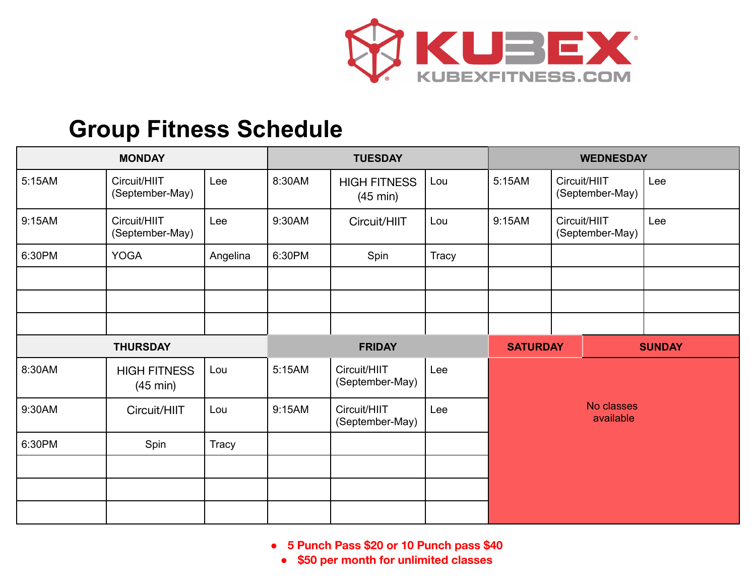

## **Group Fitness Schedule**

| <b>MONDAY</b>   |                                           |              | <b>TUESDAY</b> |                                           |       | <b>WEDNESDAY</b>        |                                 |  |               |
|-----------------|-------------------------------------------|--------------|----------------|-------------------------------------------|-------|-------------------------|---------------------------------|--|---------------|
| 5:15AM          | Circuit/HIIT<br>(September-May)           | Lee          | 8:30AM         | <b>HIGH FITNESS</b><br>$(45 \text{ min})$ | Lou   | 5:15AM                  | Circuit/HIIT<br>(September-May) |  | Lee           |
| 9:15AM          | Circuit/HIIT<br>(September-May)           | Lee          | 9:30AM         | Circuit/HIIT                              | Lou   | 9:15AM                  | Circuit/HIIT<br>(September-May) |  | Lee           |
| 6:30PM          | <b>YOGA</b>                               | Angelina     | 6:30PM         | Spin                                      | Tracy |                         |                                 |  |               |
|                 |                                           |              |                |                                           |       |                         |                                 |  |               |
|                 |                                           |              |                |                                           |       |                         |                                 |  |               |
|                 |                                           |              |                |                                           |       |                         |                                 |  |               |
| <b>THURSDAY</b> |                                           |              | <b>FRIDAY</b>  |                                           |       | <b>SATURDAY</b>         |                                 |  | <b>SUNDAY</b> |
| 8:30AM          | <b>HIGH FITNESS</b><br>$(45 \text{ min})$ | Lou          | 5:15AM         | Circuit/HIIT<br>(September-May)           | Lee   |                         |                                 |  |               |
| 9:30AM          | Circuit/HIIT                              | Lou          | 9:15AM         | Circuit/HIIT<br>(September-May)           | Lee   | No classes<br>available |                                 |  |               |
| 6:30PM          | Spin                                      | <b>Tracy</b> |                |                                           |       |                         |                                 |  |               |
|                 |                                           |              |                |                                           |       |                         |                                 |  |               |
|                 |                                           |              |                |                                           |       |                         |                                 |  |               |
|                 |                                           |              |                |                                           |       |                         |                                 |  |               |

**● 5 Punch Pass \$20 or 10 Punch pass \$40**

**● \$50 per month for unlimited classes**